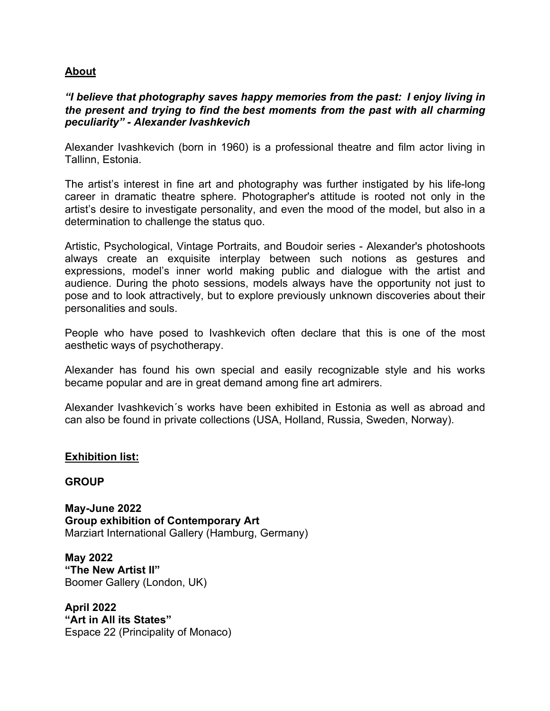## **About**

## *"I believe that photography saves happy memories from the past: I enjoy living in the present and trying to find the best moments from the past with all charming peculiarity" - Alexander Ivashkevich*

Alexander Ivashkevich (born in 1960) is a professional theatre and film actor living in Tallinn, Estonia.

The artist's interest in fine art and photography was further instigated by his life-long career in dramatic theatre sphere. Photographer's attitude is rooted not only in the artist's desire to investigate personality, and even the mood of the model, but also in a determination to challenge the status quo.

Artistic, Psychological, Vintage Portraits, and Boudoir series - Alexander's photoshoots always create an exquisite interplay between such notions as gestures and expressions, model's inner world making public and dialogue with the artist and audience. During the photo sessions, models always have the opportunity not just to pose and to look attractively, but to explore previously unknown discoveries about their personalities and souls.

People who have posed to Ivashkevich often declare that this is one of the most aesthetic ways of psychotherapy.

Alexander has found his own special and easily recognizable style and his works became popular and are in great demand among fine art admirers.

Alexander Ivashkevich´s works have been exhibited in Estonia as well as abroad and can also be found in private collections (USA, Holland, Russia, Sweden, Norway).

## **Exhibition list:**

## **GROUP**

**May-June 2022 Group exhibition of Contemporary Art** Marziart International Gallery (Hamburg, Germany)

**May 2022 "The New Artist II"** Boomer Gallery (London, UK)

**April 2022 "Art in All its States"** Espace 22 (Principality of Monaco)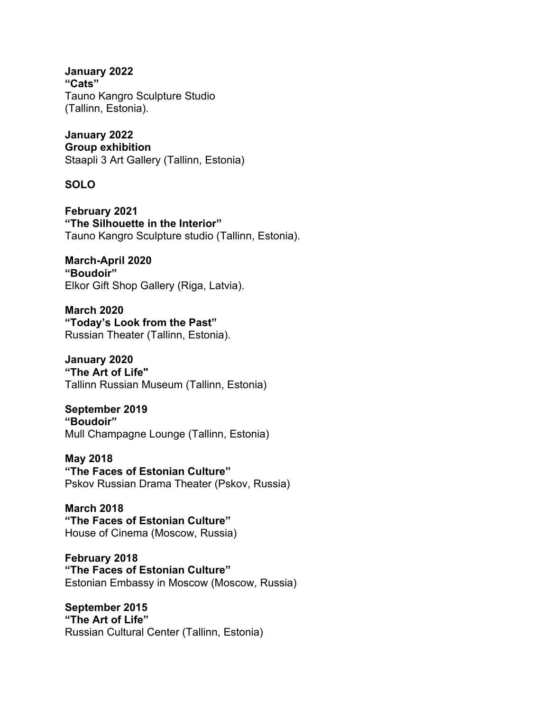**January 2022 "Cats"** Tauno Kangro Sculpture Studio (Tallinn, Estonia).

**January 2022 Group exhibition** Staapli 3 Art Gallery (Tallinn, Estonia)

**SOLO**

**February 2021 "The Silhouette in the Interior"** Tauno Kangro Sculpture studio (Tallinn, Estonia).

**March-April 2020 "Boudoir"**  Elkor Gift Shop Gallery (Riga, Latvia).

**March 2020 "Today's Look from the Past"** Russian Theater (Tallinn, Estonia).

**January 2020 "The Art of Life"** Tallinn Russian Museum (Tallinn, Estonia)

**September 2019 "Boudoir"** Mull Сhampagne Lounge (Tallinn, Estonia)

**May 2018 "The Faces of Estonian Culture"** Pskov Russian Drama Theater (Pskov, Russia)

**March 2018 "The Faces of Estonian Culture"** House of Cinema (Moscow, Russia)

**February 2018 "The Faces of Estonian Culture"** Estonian Embassy in Moscow (Moscow, Russia)

**September 2015 "The Art of Life"**  Russian Cultural Center (Tallinn, Estonia)